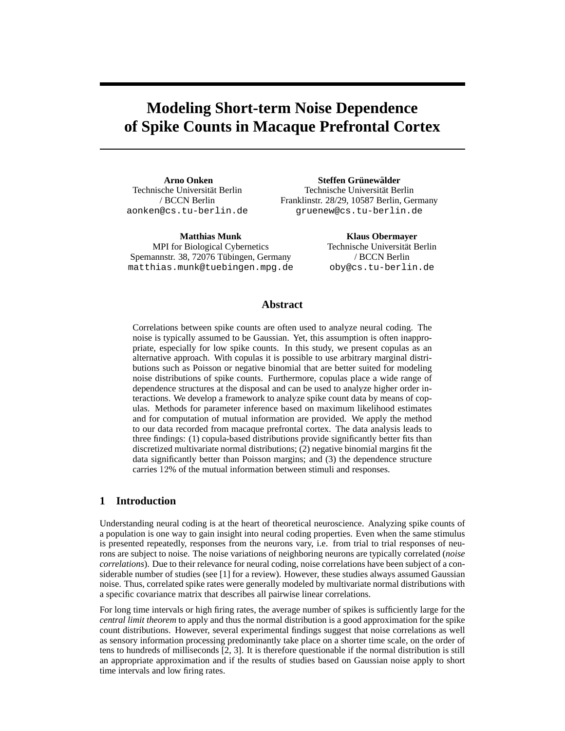# **Modeling Short-term Noise Dependence of Spike Counts in Macaque Prefrontal Cortex**

**Arno Onken** Technische Universität Berlin / BCCN Berlin aonken@cs.tu-berlin.de

**Matthias Munk** MPI for Biological Cybernetics Spemannstr. 38, 72076 Tübingen, Germany matthias.munk@tuebingen.mpg.de

 $\bf$  **Steffen Grünewälder** Technische Universität Berlin Franklinstr. 28/29, 10587 Berlin, Germany gruenew@cs.tu-berlin.de

> **Klaus Obermayer** Technische Universität Berlin / BCCN Berlin oby@cs.tu-berlin.de

## **Abstract**

Correlations between spike counts are often used to analyze neural coding. The noise is typically assumed to be Gaussian. Yet, this assumption is often inappropriate, especially for low spike counts. In this study, we present copulas as an alternative approach. With copulas it is possible to use arbitrary marginal distributions such as Poisson or negative binomial that are better suited for modeling noise distributions of spike counts. Furthermore, copulas place a wide range of dependence structures at the disposal and can be used to analyze higher order interactions. We develop a framework to analyze spike count data by means of copulas. Methods for parameter inference based on maximum likelihood estimates and for computation of mutual information are provided. We apply the method to our data recorded from macaque prefrontal cortex. The data analysis leads to three findings: (1) copula-based distributions provide significantly better fits than discretized multivariate normal distributions; (2) negative binomial margins fit the data significantly better than Poisson margins; and (3) the dependence structure carries 12% of the mutual information between stimuli and responses.

## **1 Introduction**

Understanding neural coding is at the heart of theoretical neuroscience. Analyzing spike counts of a population is one way to gain insight into neural coding properties. Even when the same stimulus is presented repeatedly, responses from the neurons vary, i.e. from trial to trial responses of neurons are subject to noise. The noise variations of neighboring neurons are typically correlated (*noise correlations*). Due to their relevance for neural coding, noise correlations have been subject of a considerable number of studies (see [1] for a review). However, these studies always assumed Gaussian noise. Thus, correlated spike rates were generally modeled by multivariate normal distributions with a specific covariance matrix that describes all pairwise linear correlations.

For long time intervals or high firing rates, the average number of spikes is sufficiently large for the *central limit theorem* to apply and thus the normal distribution is a good approximation for the spike count distributions. However, several experimental findings suggest that noise correlations as well as sensory information processing predominantly take place on a shorter time scale, on the order of tens to hundreds of milliseconds [2, 3]. It is therefore questionable if the normal distribution is still an appropriate approximation and if the results of studies based on Gaussian noise apply to short time intervals and low firing rates.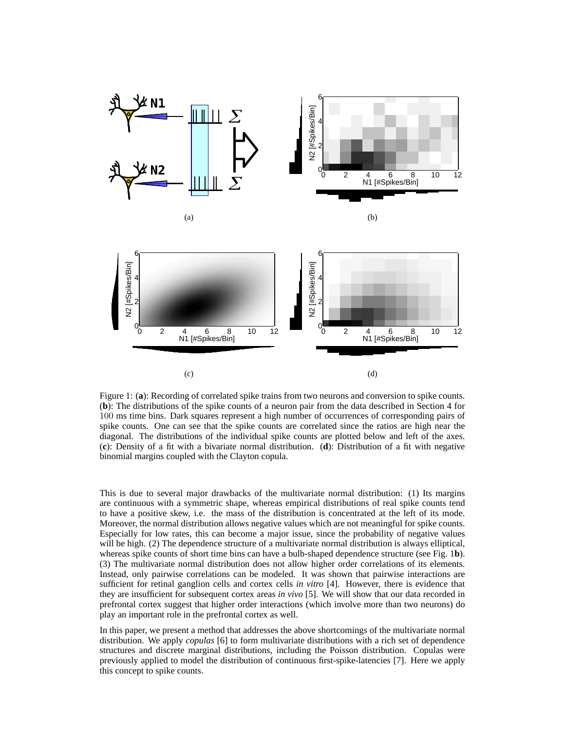

Figure 1: (**a**): Recording of correlated spike trains from two neurons and conversion to spike counts. (**b**): The distributions of the spike counts of a neuron pair from the data described in Section 4 for 100 ms time bins. Dark squares represent a high number of occurrences of corresponding pairs of spike counts. One can see that the spike counts are correlated since the ratios are high near the diagonal. The distributions of the individual spike counts are plotted below and left of the axes. (**c**): Density of a fit with a bivariate normal distribution. (**d**): Distribution of a fit with negative binomial margins coupled with the Clayton copula.

This is due to several major drawbacks of the multivariate normal distribution: (1) Its margins are continuous with a symmetric shape, whereas empirical distributions of real spike counts tend to have a positive skew, i.e. the mass of the distribution is concentrated at the left of its mode. Moreover, the normal distribution allows negative values which are not meaningful for spike counts. Especially for low rates, this can become a major issue, since the probability of negative values will be high. (2) The dependence structure of a multivariate normal distribution is always elliptical, whereas spike counts of short time bins can have a bulb-shaped dependence structure (see Fig. 1**b**). (3) The multivariate normal distribution does not allow higher order correlations of its elements. Instead, only pairwise correlations can be modeled. It was shown that pairwise interactions are sufficient for retinal ganglion cells and cortex cells *in vitro* [4]. However, there is evidence that they are insufficient for subsequent cortex areas *in vivo* [5]. We will show that our data recorded in prefrontal cortex suggest that higher order interactions (which involve more than two neurons) do play an important role in the prefrontal cortex as well.

In this paper, we present a method that addresses the above shortcomings of the multivariate normal distribution. We apply *copulas* [6] to form multivariate distributions with a rich set of dependence structures and discrete marginal distributions, including the Poisson distribution. Copulas were previously applied to model the distribution of continuous first-spike-latencies [7]. Here we apply this concept to spike counts.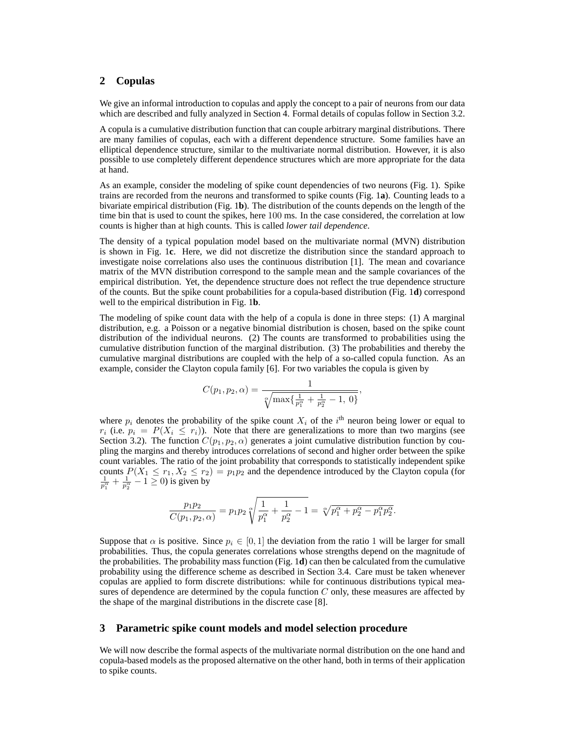# **2 Copulas**

We give an informal introduction to copulas and apply the concept to a pair of neurons from our data which are described and fully analyzed in Section 4. Formal details of copulas follow in Section 3.2.

A copula is a cumulative distribution function that can couple arbitrary marginal distributions. There are many families of copulas, each with a different dependence structure. Some families have an elliptical dependence structure, similar to the multivariate normal distribution. However, it is also possible to use completely different dependence structures which are more appropriate for the data at hand.

As an example, consider the modeling of spike count dependencies of two neurons (Fig. 1). Spike trains are recorded from the neurons and transformed to spike counts (Fig. 1**a**). Counting leads to a bivariate empirical distribution (Fig. 1**b**). The distribution of the counts depends on the length of the time bin that is used to count the spikes, here 100 ms. In the case considered, the correlation at low counts is higher than at high counts. This is called *lower tail dependence*.

The density of a typical population model based on the multivariate normal (MVN) distribution is shown in Fig. 1**c**. Here, we did not discretize the distribution since the standard approach to investigate noise correlations also uses the continuous distribution [1]. The mean and covariance matrix of the MVN distribution correspond to the sample mean and the sample covariances of the empirical distribution. Yet, the dependence structure does not reflect the true dependence structure of the counts. But the spike count probabilities for a copula-based distribution (Fig. 1**d**) correspond well to the empirical distribution in Fig. 1**b**.

The modeling of spike count data with the help of a copula is done in three steps: (1) A marginal distribution, e.g. a Poisson or a negative binomial distribution is chosen, based on the spike count distribution of the individual neurons. (2) The counts are transformed to probabilities using the cumulative distribution function of the marginal distribution. (3) The probabilities and thereby the cumulative marginal distributions are coupled with the help of a so-called copula function. As an example, consider the Clayton copula family [6]. For two variables the copula is given by

$$
C(p_1, p_2, \alpha) = \frac{1}{\sqrt[\alpha]{\max\{\frac{1}{p_1^{\alpha}} + \frac{1}{p_2^{\alpha}} - 1, 0\}}},
$$

where  $p_i$  denotes the probability of the spike count  $X_i$  of the i<sup>th</sup> neuron being lower or equal to  $r_i$  (i.e.  $p_i = P(X_i \leq r_i)$ ). Note that there are generalizations to more than two margins (see Section 3.2). The function  $C(p_1, p_2, \alpha)$  generates a joint cumulative distribution function by coupling the margins and thereby introduces correlations of second and higher order between the spike count variables. The ratio of the joint probability that corresponds to statistically independent spike counts  $P(X_1 \le r_1, X_2 \le r_2) = p_1 p_2$  and the dependence introduced by the Clayton copula (for  $\frac{1}{p_1^{\alpha}} + \frac{1}{p_2^{\epsilon}}$  $\frac{1}{p_2^{\alpha}} - 1 \ge 0$ ) is given by

$$
\frac{p_1p_2}{C(p_1, p_2, \alpha)} = p_1p_2 \sqrt{\frac{1}{p_1^{\alpha}} + \frac{1}{p_2^{\alpha}} - 1} = \sqrt[\alpha]{p_1^{\alpha} + p_2^{\alpha} - p_1^{\alpha}p_2^{\alpha}}.
$$

Suppose that  $\alpha$  is positive. Since  $p_i \in [0, 1]$  the deviation from the ratio 1 will be larger for small probabilities. Thus, the copula generates correlations whose strengths depend on the magnitude of the probabilities. The probability mass function (Fig. 1**d**) can then be calculated from the cumulative probability using the difference scheme as described in Section 3.4. Care must be taken whenever copulas are applied to form discrete distributions: while for continuous distributions typical measures of dependence are determined by the copula function  $C$  only, these measures are affected by the shape of the marginal distributions in the discrete case [8].

## **3 Parametric spike count models and model selection procedure**

We will now describe the formal aspects of the multivariate normal distribution on the one hand and copula-based models as the proposed alternative on the other hand, both in terms of their application to spike counts.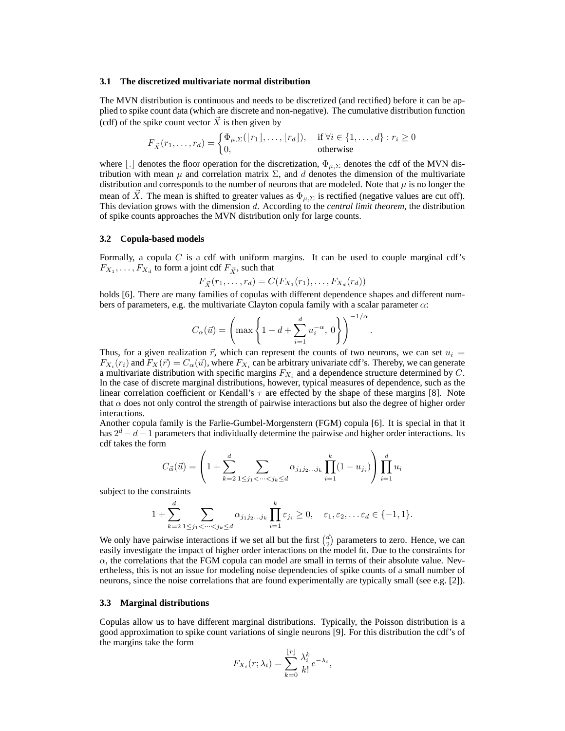#### **3.1 The discretized multivariate normal distribution**

The MVN distribution is continuous and needs to be discretized (and rectified) before it can be applied to spike count data (which are discrete and non-negative). The cumulative distribution function (cdf) of the spike count vector  $\vec{X}$  is then given by

$$
F_{\vec{X}}(r_1,\ldots,r_d) = \begin{cases} \Phi_{\mu,\Sigma}([r_1],\ldots,[r_d]), & \text{if } \forall i \in \{1,\ldots,d\} : r_i \ge 0\\ 0, & \text{otherwise} \end{cases}
$$

where  $\vert . \vert$  denotes the floor operation for the discretization,  $\Phi_{\mu, \Sigma}$  denotes the cdf of the MVN distribution with mean  $\mu$  and correlation matrix  $\Sigma$ , and d denotes the dimension of the multivariate distribution and corresponds to the number of neurons that are modeled. Note that  $\mu$  is no longer the mean of  $\overline{X}$ . The mean is shifted to greater values as  $\Phi_{\mu,\Sigma}$  is rectified (negative values are cut off). This deviation grows with the dimension d. According to the *central limit theorem*, the distribution of spike counts approaches the MVN distribution only for large counts.

#### **3.2 Copula-based models**

Formally, a copula  $C$  is a cdf with uniform margins. It can be used to couple marginal cdf's  $F_{X_1}, \ldots, F_{X_d}$  to form a joint cdf  $F_{\vec{X}}$ , such that

$$
F_{\vec{X}}(r_1,\ldots,r_d) = C(F_{X_1}(r_1),\ldots,F_{X_d}(r_d))
$$

holds [6]. There are many families of copulas with different dependence shapes and different numbers of parameters, e.g. the multivariate Clayton copula family with a scalar parameter  $\alpha$ :

$$
C_\alpha(\vec u) = \left(\max\left\{1-d+\sum_{i=1}^d u_i^{-\alpha},\,0\right\}\right)^{-1/\alpha}
$$

.

Thus, for a given realization  $\vec{r}$ , which can represent the counts of two neurons, we can set  $u_i =$  $F_{X_i}(r_i)$  and  $F_X(\vec{r}) = C_\alpha(\vec{u})$ , where  $F_{X_i}$  can be arbitrary univariate cdf's. Thereby, we can generate a multivariate distribution with specific margins  $F_{X_i}$  and a dependence structure determined by C. In the case of discrete marginal distributions, however, typical measures of dependence, such as the linear correlation coefficient or Kendall's  $\tau$  are effected by the shape of these margins [8]. Note that  $\alpha$  does not only control the strength of pairwise interactions but also the degree of higher order interactions.

Another copula family is the Farlie-Gumbel-Morgenstern (FGM) copula [6]. It is special in that it has  $2^d - d - 1$  parameters that individually determine the pairwise and higher order interactions. Its cdf takes the form

$$
C_{\vec{\alpha}}(\vec{u}) = \left(1 + \sum_{k=2}^{d} \sum_{1 \leq j_1 < \dots < j_k \leq d} \alpha_{j_1 j_2 \dots j_k} \prod_{i=1}^{k} (1 - u_{j_i})\right) \prod_{i=1}^{d} u_i
$$

subject to the constraints

$$
1 + \sum_{k=2}^{d} \sum_{1 \leq j_1 < \dots < j_k \leq d} \alpha_{j_1 j_2 \dots j_k} \prod_{i=1}^{k} \varepsilon_{j_i} \geq 0, \quad \varepsilon_1, \varepsilon_2, \dots \varepsilon_d \in \{-1, 1\}.
$$

We only have pairwise interactions if we set all but the first  $\binom{d}{2}$  parameters to zero. Hence, we can easily investigate the impact of higher order interactions on the model fit. Due to the constraints for  $\alpha$ , the correlations that the FGM copula can model are small in terms of their absolute value. Nevertheless, this is not an issue for modeling noise dependencies of spike counts of a small number of neurons, since the noise correlations that are found experimentally are typically small (see e.g. [2]).

#### **3.3 Marginal distributions**

Copulas allow us to have different marginal distributions. Typically, the Poisson distribution is a good approximation to spike count variations of single neurons [9]. For this distribution the cdf's of the margins take the form

$$
F_{X_i}(r; \lambda_i) = \sum_{k=0}^{\lfloor r \rfloor} \frac{\lambda_i^k}{k!} e^{-\lambda_i},
$$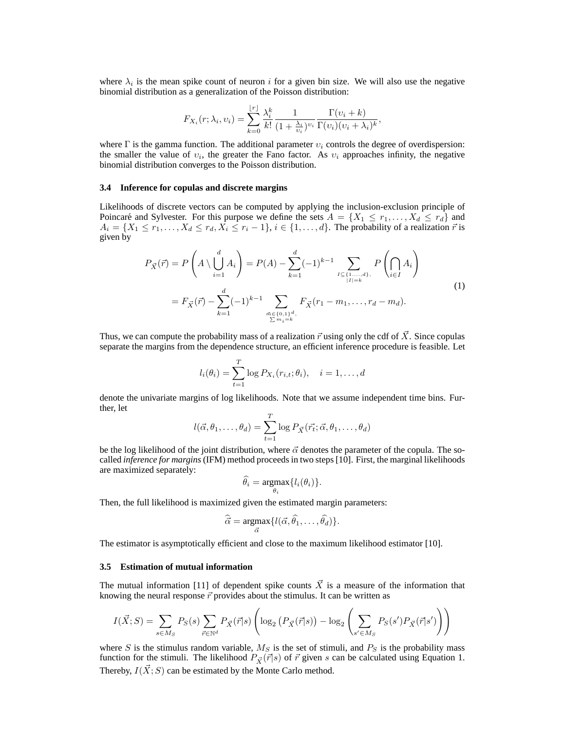where  $\lambda_i$  is the mean spike count of neuron i for a given bin size. We will also use the negative binomial distribution as a generalization of the Poisson distribution:

$$
F_{X_i}(r; \lambda_i, v_i) = \sum_{k=0}^{\lfloor r \rfloor} \frac{\lambda_i^k}{k!} \frac{1}{(1 + \frac{\lambda_i}{v_i})^{v_i}} \frac{\Gamma(v_i + k)}{\Gamma(v_i)(v_i + \lambda_i)^k},
$$

where  $\Gamma$  is the gamma function. The additional parameter  $v_i$  controls the degree of overdispersion: the smaller the value of  $v_i$ , the greater the Fano factor. As  $v_i$  approaches infinity, the negative binomial distribution converges to the Poisson distribution.

#### **3.4 Inference for copulas and discrete margins**

Likelihoods of discrete vectors can be computed by applying the inclusion-exclusion principle of Poincaré and Sylvester. For this purpose we define the sets  $A = \{X_1 \le r_1, \ldots, X_d \le r_d\}$  and  $A_i = \{X_1 \leq r_1, \ldots, X_d \leq r_d, X_i \leq r_i - 1\}, i \in \{1, \ldots, d\}$ . The probability of a realization  $\vec{r}$  is given by

$$
P_{\vec{X}}(\vec{r}) = P\left(A \setminus \bigcup_{i=1}^{d} A_i\right) = P(A) - \sum_{k=1}^{d} (-1)^{k-1} \sum_{\substack{I \subseteq \{1,\ldots,d\}, \\ |I| = k}} P\left(\bigcap_{i \in I} A_i\right)
$$

$$
= F_{\vec{X}}(\vec{r}) - \sum_{k=1}^{d} (-1)^{k-1} \sum_{\substack{\vec{n} \in \{0,1\}^d, \\ \sum m_i = k}} F_{\vec{X}}(r_1 - m_1, \ldots, r_d - m_d). \tag{1}
$$

Thus, we can compute the probability mass of a realization  $\vec{r}$  using only the cdf of  $\vec{X}$ . Since copulas separate the margins from the dependence structure, an efficient inference procedure is feasible. Let

$$
l_i(\theta_i) = \sum_{t=1}^T \log P_{X_i}(r_{i,t}; \theta_i), \quad i = 1, \dots, d
$$

denote the univariate margins of log likelihoods. Note that we assume independent time bins. Further, let

$$
l(\vec{\alpha}, \theta_1, \dots, \theta_d) = \sum_{t=1}^T \log P_{\vec{X}}(\vec{r_t}; \vec{\alpha}, \theta_1, \dots, \theta_d)
$$

be the log likelihood of the joint distribution, where  $\vec{\alpha}$  denotes the parameter of the copula. The socalled *inference for margins*(IFM) method proceeds in two steps [10]. First, the marginal likelihoods are maximized separately:

$$
\widehat{\theta_i} = \underset{\theta_i}{\operatorname{argmax}} \{ l_i(\theta_i) \}.
$$

Then, the full likelihood is maximized given the estimated margin parameters:

$$
\widehat{\vec{\alpha}} = \underset{\vec{\alpha}}{\operatorname{argmax}} \{ l(\vec{\alpha}, \hat{\theta_1}, \dots, \hat{\theta_d}) \}.
$$

The estimator is asymptotically efficient and close to the maximum likelihood estimator [10].

#### **3.5 Estimation of mutual information**

The mutual information [11] of dependent spike counts  $\vec{X}$  is a measure of the information that knowing the neural response  $\vec{r}$  provides about the stimulus. It can be written as

$$
I(\vec{X};S) = \sum_{s \in M_S} P_S(s) \sum_{\vec{r} \in \mathbb{N}^d} P_{\vec{X}}(\vec{r}|s) \left( \log_2 \left( P_{\vec{X}}(\vec{r}|s) \right) - \log_2 \left( \sum_{s' \in M_S} P_S(s') P_{\vec{X}}(\vec{r}|s') \right) \right)
$$

. . . **.** 

where S is the stimulus random variable,  $M<sub>S</sub>$  is the set of stimuli, and  $P<sub>S</sub>$  is the probability mass function for the stimuli. The likelihood  $P_{\vec{X}}(\vec{r}|s)$  of  $\vec{r}$  given s can be calculated using Equation 1. Thereby,  $I(\vec{X}; S)$  can be estimated by the Monte Carlo method.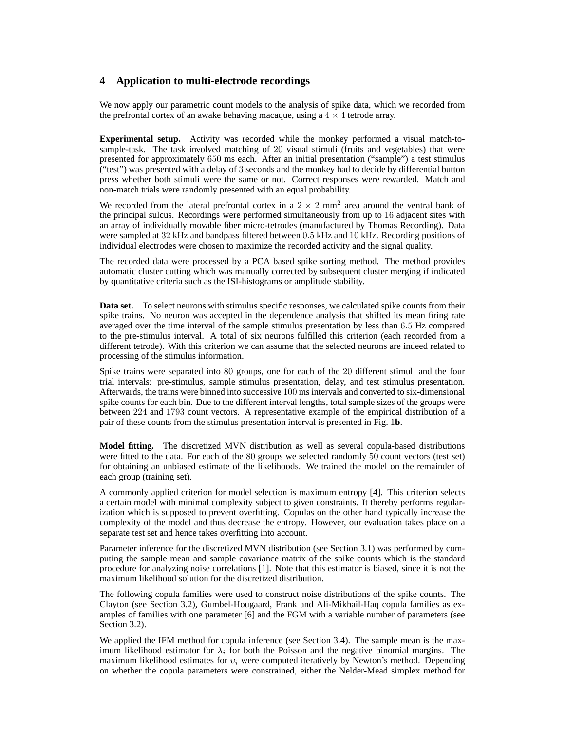# **4 Application to multi-electrode recordings**

We now apply our parametric count models to the analysis of spike data, which we recorded from the prefrontal cortex of an awake behaving macaque, using a  $4 \times 4$  tetrode array.

**Experimental setup.** Activity was recorded while the monkey performed a visual match-tosample-task. The task involved matching of 20 visual stimuli (fruits and vegetables) that were presented for approximately 650 ms each. After an initial presentation ("sample") a test stimulus ("test") was presented with a delay of 3 seconds and the monkey had to decide by differential button press whether both stimuli were the same or not. Correct responses were rewarded. Match and non-match trials were randomly presented with an equal probability.

We recorded from the lateral prefrontal cortex in a  $2 \times 2$  mm<sup>2</sup> area around the ventral bank of the principal sulcus. Recordings were performed simultaneously from up to 16 adjacent sites with an array of individually movable fiber micro-tetrodes (manufactured by Thomas Recording). Data were sampled at 32 kHz and bandpass filtered between 0.5 kHz and 10 kHz. Recording positions of individual electrodes were chosen to maximize the recorded activity and the signal quality.

The recorded data were processed by a PCA based spike sorting method. The method provides automatic cluster cutting which was manually corrected by subsequent cluster merging if indicated by quantitative criteria such as the ISI-histograms or amplitude stability.

**Data set.** To select neurons with stimulus specific responses, we calculated spike counts from their spike trains. No neuron was accepted in the dependence analysis that shifted its mean firing rate averaged over the time interval of the sample stimulus presentation by less than 6.5 Hz compared to the pre-stimulus interval. A total of six neurons fulfilled this criterion (each recorded from a different tetrode). With this criterion we can assume that the selected neurons are indeed related to processing of the stimulus information.

Spike trains were separated into 80 groups, one for each of the 20 different stimuli and the four trial intervals: pre-stimulus, sample stimulus presentation, delay, and test stimulus presentation. Afterwards, the trains were binned into successive 100 ms intervals and converted to six-dimensional spike counts for each bin. Due to the different interval lengths, total sample sizes of the groups were between 224 and 1793 count vectors. A representative example of the empirical distribution of a pair of these counts from the stimulus presentation interval is presented in Fig. 1**b**.

**Model fitting.** The discretized MVN distribution as well as several copula-based distributions were fitted to the data. For each of the 80 groups we selected randomly 50 count vectors (test set) for obtaining an unbiased estimate of the likelihoods. We trained the model on the remainder of each group (training set).

A commonly applied criterion for model selection is maximum entropy [4]. This criterion selects a certain model with minimal complexity subject to given constraints. It thereby performs regularization which is supposed to prevent overfitting. Copulas on the other hand typically increase the complexity of the model and thus decrease the entropy. However, our evaluation takes place on a separate test set and hence takes overfitting into account.

Parameter inference for the discretized MVN distribution (see Section 3.1) was performed by computing the sample mean and sample covariance matrix of the spike counts which is the standard procedure for analyzing noise correlations [1]. Note that this estimator is biased, since it is not the maximum likelihood solution for the discretized distribution.

The following copula families were used to construct noise distributions of the spike counts. The Clayton (see Section 3.2), Gumbel-Hougaard, Frank and Ali-Mikhail-Haq copula families as examples of families with one parameter [6] and the FGM with a variable number of parameters (see Section 3.2).

We applied the IFM method for copula inference (see Section 3.4). The sample mean is the maximum likelihood estimator for  $\lambda_i$  for both the Poisson and the negative binomial margins. The maximum likelihood estimates for  $v_i$  were computed iteratively by Newton's method. Depending on whether the copula parameters were constrained, either the Nelder-Mead simplex method for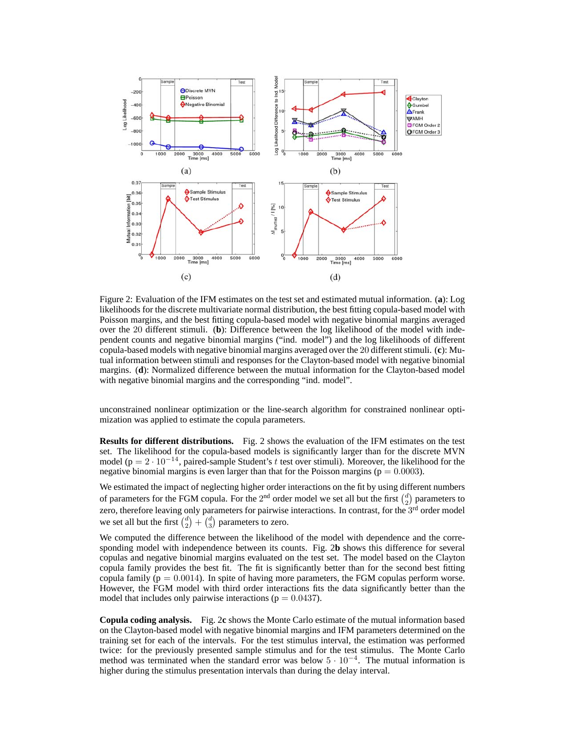

Figure 2: Evaluation of the IFM estimates on the test set and estimated mutual information. (**a**): Log likelihoods for the discrete multivariate normal distribution, the best fitting copula-based model with Poisson margins, and the best fitting copula-based model with negative binomial margins averaged over the 20 different stimuli. (**b**): Difference between the log likelihood of the model with independent counts and negative binomial margins ("ind. model") and the log likelihoods of different copula-based models with negative binomial margins averaged over the 20 different stimuli. (**c**): Mutual information between stimuli and responses for the Clayton-based model with negative binomial margins. (**d**): Normalized difference between the mutual information for the Clayton-based model with negative binomial margins and the corresponding "ind. model".

unconstrained nonlinear optimization or the line-search algorithm for constrained nonlinear optimization was applied to estimate the copula parameters.

**Results for different distributions.** Fig. 2 shows the evaluation of the IFM estimates on the test set. The likelihood for the copula-based models is significantly larger than for the discrete MVN model (p =  $2 \cdot 10^{-14}$ , paired-sample Student's t test over stimuli). Moreover, the likelihood for the negative binomial margins is even larger than that for the Poisson margins ( $p = 0.0003$ ).

We estimated the impact of neglecting higher order interactions on the fit by using different numbers of parameters for the FGM copula. For the 2<sup>nd</sup> order model we set all but the first  $\binom{d}{2}$  parameters to zero, therefore leaving only parameters for pairwise interactions. In contrast, for the  $3<sup>rd</sup>$  order model we set all but the first  $\binom{d}{2} + \binom{d}{3}$  parameters to zero.

We computed the difference between the likelihood of the model with dependence and the corresponding model with independence between its counts. Fig. 2**b** shows this difference for several copulas and negative binomial margins evaluated on the test set. The model based on the Clayton copula family provides the best fit. The fit is significantly better than for the second best fitting copula family ( $p = 0.0014$ ). In spite of having more parameters, the FGM copulas perform worse. However, the FGM model with third order interactions fits the data significantly better than the model that includes only pairwise interactions ( $p = 0.0437$ ).

**Copula coding analysis.** Fig. 2**c** shows the Monte Carlo estimate of the mutual information based on the Clayton-based model with negative binomial margins and IFM parameters determined on the training set for each of the intervals. For the test stimulus interval, the estimation was performed twice: for the previously presented sample stimulus and for the test stimulus. The Monte Carlo method was terminated when the standard error was below  $5 \cdot 10^{-4}$ . The mutual information is higher during the stimulus presentation intervals than during the delay interval.